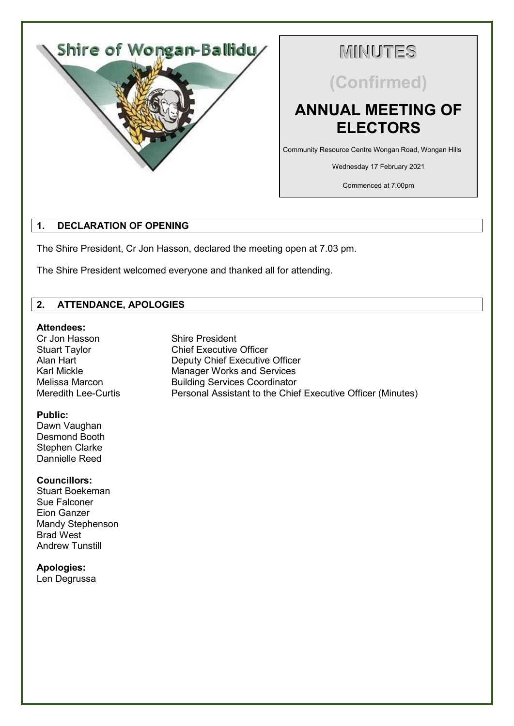

# **MINUTES**

**(Confirmed)**

# **ANNUAL MEETING OF ELECTORS**

Community Resource Centre Wongan Road, Wongan Hills

Wednesday 17 February 2021

Commenced at 7.00pm

# **1. DECLARATION OF OPENING**

The Shire President, Cr Jon Hasson, declared the meeting open at 7.03 pm.

The Shire President welcomed everyone and thanked all for attending.

# **2. ATTENDANCE, APOLOGIES**

# **Attendees:**

Cr Jon Hasson Shire President Stuart Taylor Chief Executive Officer Alan Hart **Deputy Chief Executive Officer**<br>
Karl Mickle **Manager Works and Services** Karl Mickle Manager Works and Services<br>
Melissa Marcon Building Services Coordinator Melissa Marcon **Building Services Coordinator**<br>Meredith Lee-Curtis **Represent Personal Assistant to the Chie** 

#### **Public:**

Dawn Vaughan Desmond Booth Stephen Clarke Dannielle Reed

# **Councillors:**

Stuart Boekeman Sue Falconer Eion Ganzer Mandy Stephenson Brad West Andrew Tunstill

# **Apologies:**

Len Degrussa

Personal Assistant to the Chief Executive Officer (Minutes)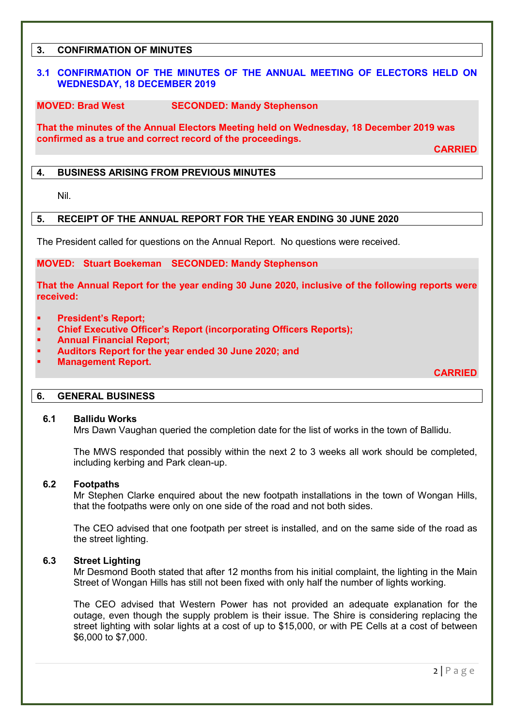# **3. CONFIRMATION OF MINUTES**

### **3.1 CONFIRMATION OF THE MINUTES OF THE ANNUAL MEETING OF ELECTORS HELD ON WEDNESDAY, 18 DECEMBER 2019**

# **MOVED: Brad West SECONDED: Mandy Stephenson**

**That the minutes of the Annual Electors Meeting held on Wednesday, 18 December 2019 was confirmed as a true and correct record of the proceedings.**

**CARRIED**

#### **4. BUSINESS ARISING FROM PREVIOUS MINUTES**

Nil.

#### **5. RECEIPT OF THE ANNUAL REPORT FOR THE YEAR ENDING 30 JUNE 2020**

The President called for questions on the Annual Report. No questions were received.

#### **MOVED: Stuart Boekeman SECONDED: Mandy Stephenson**

**That the Annual Report for the year ending 30 June 2020, inclusive of the following reports were received:**

- **President's Report;**
- **Chief Executive Officer's Report (incorporating Officers Reports);**
- **Annual Financial Report;**
- **Auditors Report for the year ended 30 June 2020; and**
- **Management Report.**

**CARRIED**

#### **6. GENERAL BUSINESS**

#### **6.1 Ballidu Works**

Mrs Dawn Vaughan queried the completion date for the list of works in the town of Ballidu.

The MWS responded that possibly within the next 2 to 3 weeks all work should be completed, including kerbing and Park clean-up.

#### **6.2 Footpaths**

Mr Stephen Clarke enquired about the new footpath installations in the town of Wongan Hills, that the footpaths were only on one side of the road and not both sides.

The CEO advised that one footpath per street is installed, and on the same side of the road as the street lighting.

# **6.3 Street Lighting**

Mr Desmond Booth stated that after 12 months from his initial complaint, the lighting in the Main Street of Wongan Hills has still not been fixed with only half the number of lights working.

The CEO advised that Western Power has not provided an adequate explanation for the outage, even though the supply problem is their issue. The Shire is considering replacing the street lighting with solar lights at a cost of up to \$15,000, or with PE Cells at a cost of between \$6,000 to \$7,000.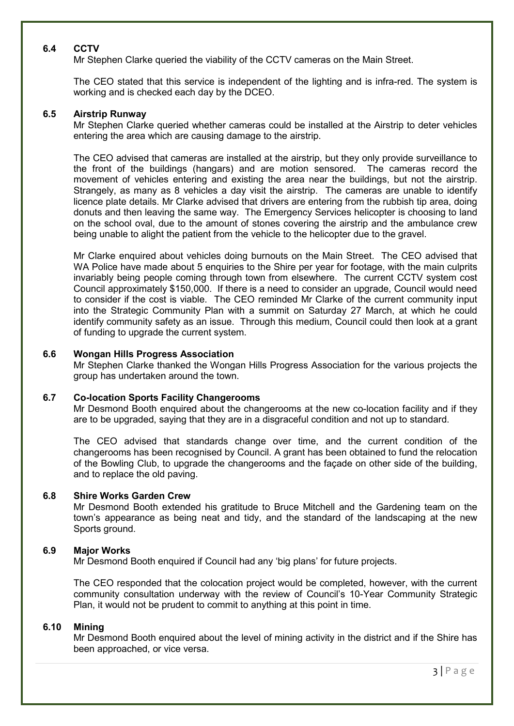# **6.4 CCTV**

Mr Stephen Clarke queried the viability of the CCTV cameras on the Main Street.

The CEO stated that this service is independent of the lighting and is infra-red. The system is working and is checked each day by the DCEO.

# **6.5 Airstrip Runway**

Mr Stephen Clarke queried whether cameras could be installed at the Airstrip to deter vehicles entering the area which are causing damage to the airstrip.

The CEO advised that cameras are installed at the airstrip, but they only provide surveillance to the front of the buildings (hangars) and are motion sensored. The cameras record the movement of vehicles entering and existing the area near the buildings, but not the airstrip. Strangely, as many as 8 vehicles a day visit the airstrip. The cameras are unable to identify licence plate details. Mr Clarke advised that drivers are entering from the rubbish tip area, doing donuts and then leaving the same way. The Emergency Services helicopter is choosing to land on the school oval, due to the amount of stones covering the airstrip and the ambulance crew being unable to alight the patient from the vehicle to the helicopter due to the gravel.

Mr Clarke enquired about vehicles doing burnouts on the Main Street. The CEO advised that WA Police have made about 5 enquiries to the Shire per year for footage, with the main culprits invariably being people coming through town from elsewhere. The current CCTV system cost Council approximately \$150,000. If there is a need to consider an upgrade, Council would need to consider if the cost is viable. The CEO reminded Mr Clarke of the current community input into the Strategic Community Plan with a summit on Saturday 27 March, at which he could identify community safety as an issue. Through this medium, Council could then look at a grant of funding to upgrade the current system.

### **6.6 Wongan Hills Progress Association**

Mr Stephen Clarke thanked the Wongan Hills Progress Association for the various projects the group has undertaken around the town.

#### **6.7 Co-location Sports Facility Changerooms**

Mr Desmond Booth enquired about the changerooms at the new co-location facility and if they are to be upgraded, saying that they are in a disgraceful condition and not up to standard.

The CEO advised that standards change over time, and the current condition of the changerooms has been recognised by Council. A grant has been obtained to fund the relocation of the Bowling Club, to upgrade the changerooms and the façade on other side of the building, and to replace the old paving.

#### **6.8 Shire Works Garden Crew**

Mr Desmond Booth extended his gratitude to Bruce Mitchell and the Gardening team on the town's appearance as being neat and tidy, and the standard of the landscaping at the new Sports ground.

#### **6.9 Major Works**

Mr Desmond Booth enquired if Council had any 'big plans' for future projects.

The CEO responded that the colocation project would be completed, however, with the current community consultation underway with the review of Council's 10-Year Community Strategic Plan, it would not be prudent to commit to anything at this point in time.

#### **6.10 Mining**

Mr Desmond Booth enquired about the level of mining activity in the district and if the Shire has been approached, or vice versa.